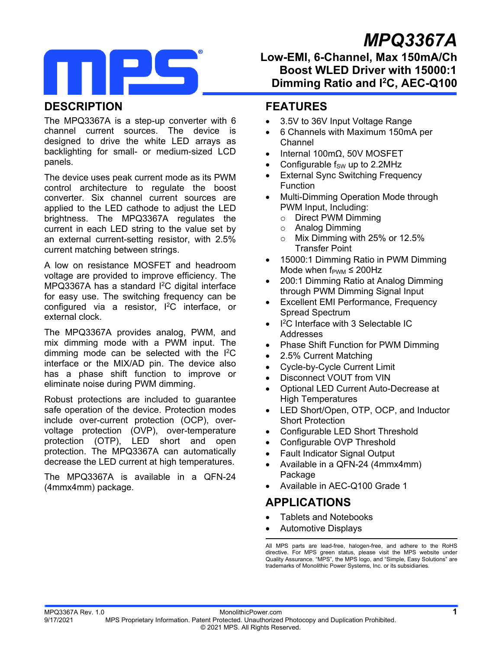# *MPQ3367A*



# **Low-EMI, 6-Channel, Max 150mA/Ch Boost WLED Driver with 15000:1 Dimming Ratio and I2C, AEC-Q100**

# **DESCRIPTION**

The MPQ3367A is a step-up converter with 6 channel current sources. The device is designed to drive the white LED arrays as backlighting for small- or medium-sized LCD panels.

The device uses peak current mode as its PWM control architecture to regulate the boost converter. Six channel current sources are applied to the LED cathode to adjust the LED brightness. The MPQ3367A regulates the current in each LED string to the value set by an external current-setting resistor, with 2.5% current matching between strings.

A low on resistance MOSFET and headroom voltage are provided to improve efficiency. The MPQ3367A has a standard <sup>2</sup>C digital interface for easy use. The switching frequency can be configured via a resistor, I2C interface, or external clock.

The MPQ3367A provides analog, PWM, and mix dimming mode with a PWM input. The dimming mode can be selected with the I2C interface or the MIX/AD pin. The device also has a phase shift function to improve or eliminate noise during PWM dimming.

Robust protections are included to guarantee safe operation of the device. Protection modes include over-current protection (OCP), overvoltage protection (OVP), over-temperature protection (OTP), LED short and open protection. The MPQ3367A can automatically decrease the LED current at high temperatures.

The MPQ3367A is available in a QFN-24 (4mmx4mm) package.

# **FEATURES**

- 3.5V to 36V Input Voltage Range
- 6 Channels with Maximum 150mA per Channel
- Internal 100mΩ, 50V MOSFET
- Configurable  $f_{SW}$  up to 2.2MHz
- External Sync Switching Frequency Function
- Multi-Dimming Operation Mode through PWM Input, Including:
	- o Direct PWM Dimming
	- o Analog Dimming
	- o Mix Dimming with 25% or 12.5% Transfer Point
- 15000:1 Dimming Ratio in PWM Dimming Mode when  $f_{\text{PWM}} \leq 200$ Hz
- 200:1 Dimming Ratio at Analog Dimming through PWM Dimming Signal Input
- Excellent EMI Performance, Frequency Spread Spectrum
- $\bullet$  I<sup>2</sup>C Interface with 3 Selectable IC Addresses
- Phase Shift Function for PWM Dimming
- 2.5% Current Matching
- Cycle-by-Cycle Current Limit
- Disconnect VOUT from VIN
- Optional LED Current Auto-Decrease at High Temperatures
- LED Short/Open, OTP, OCP, and Inductor Short Protection
- Configurable LED Short Threshold
- Configurable OVP Threshold
- Fault Indicator Signal Output
- Available in a QFN-24 (4mmx4mm) Package
- Available in AEC-Q100 Grade 1

## **APPLICATIONS**

- Tablets and Notebooks
- Automotive Displays

All MPS parts are lead-free, halogen-free, and adhere to the RoHS directive. For MPS green status, please visit the MPS website under Quality Assurance. "MPS", the MPS logo, and "Simple, Easy Solutions" are trademarks of Monolithic Power Systems, Inc. or its subsidiaries.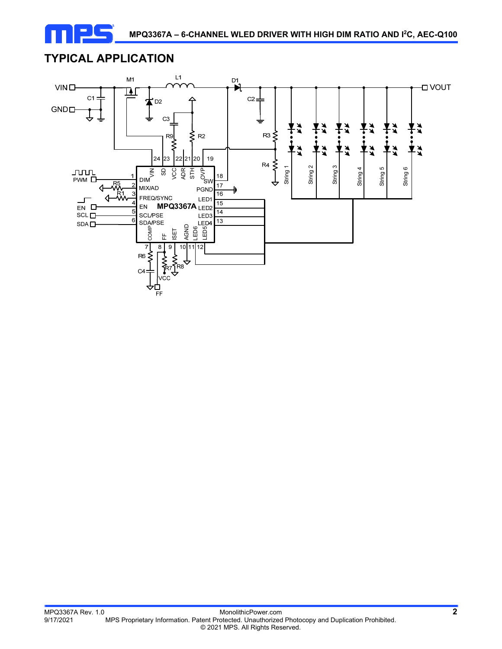

# **TYPICAL APPLICATION**

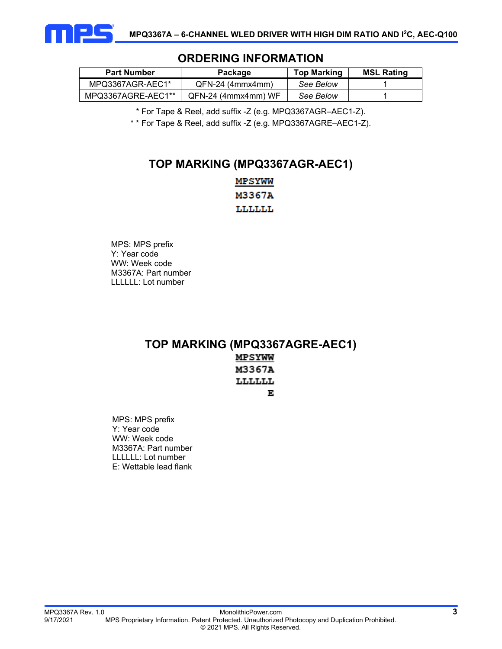

| <b>Part Number</b> | Package             | <b>Top Marking</b> | <b>MSL Rating</b> |  |  |  |  |  |  |
|--------------------|---------------------|--------------------|-------------------|--|--|--|--|--|--|
| MPQ3367AGR-AEC1*   | QFN-24 (4mmx4mm)    | See Below          |                   |  |  |  |  |  |  |
| MPQ3367AGRE-AEC1** | QFN-24 (4mmx4mm) WF | See Below          |                   |  |  |  |  |  |  |

## **ORDERING INFORMATION**

\* For Tape & Reel, add suffix -Z (e.g. MPQ3367AGR–AEC1-Z).

\* \* For Tape & Reel, add suffix -Z (e.g. MPQ3367AGRE–AEC1-Z).

## **TOP MARKING (MPQ3367AGR-AEC1)**

MPSYWW M3367A LLLLLL

MPS: MPS prefix Y: Year code WW: Week code M3367A: Part number LLLLLL: Lot number

## **TOP MARKING (MPQ3367AGRE-AEC1) MPSYWW** M3367A

# LLLLLL

E

MPS: MPS prefix Y: Year code WW: Week code M3367A: Part number LLLLLL: Lot number E: Wettable lead flank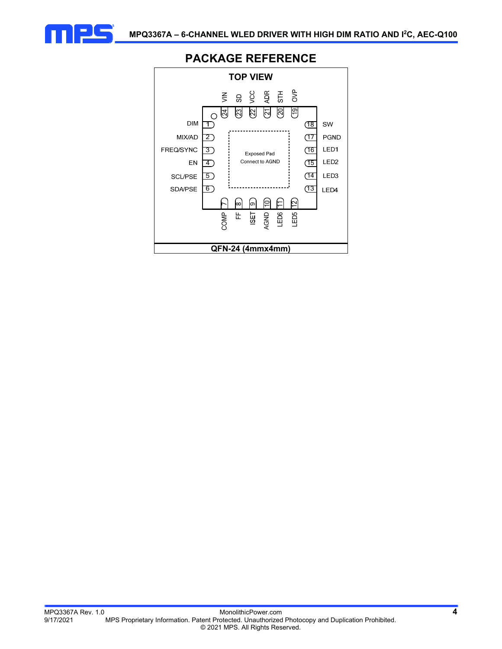



## **PACKAGE REFERENCE**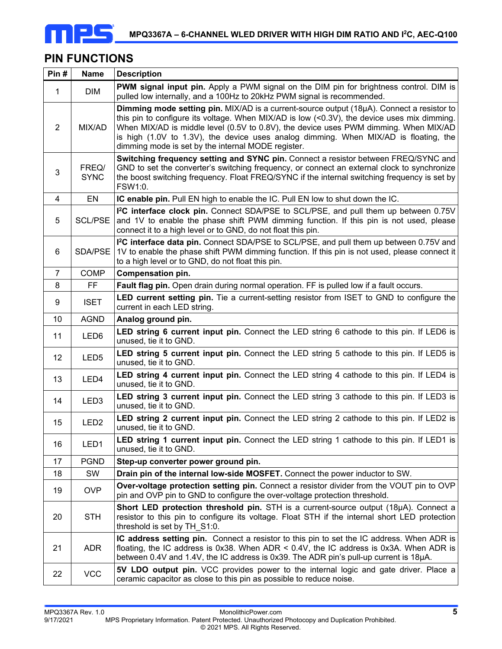

## **PIN FUNCTIONS**

| Pin#           | <b>Name</b>          | <b>Description</b>                                                                                                                                                                                                                                                                                                                                                                                                              |
|----------------|----------------------|---------------------------------------------------------------------------------------------------------------------------------------------------------------------------------------------------------------------------------------------------------------------------------------------------------------------------------------------------------------------------------------------------------------------------------|
| $\mathbf{1}$   | <b>DIM</b>           | <b>PWM signal input pin.</b> Apply a PWM signal on the DIM pin for brightness control. DIM is<br>pulled low internally, and a 100Hz to 20kHz PWM signal is recommended.                                                                                                                                                                                                                                                         |
| $\overline{2}$ | MIX/AD               | Dimming mode setting pin. MIX/AD is a current-source output (18µA). Connect a resistor to<br>this pin to configure its voltage. When MIX/AD is low $(0.3V), the device uses mix dimming.$<br>When MIX/AD is middle level (0.5V to 0.8V), the device uses PWM dimming. When MIX/AD<br>is high (1.0V to 1.3V), the device uses analog dimming. When MIX/AD is floating, the<br>dimming mode is set by the internal MODE register. |
| 3              | FREQ/<br><b>SYNC</b> | Switching frequency setting and SYNC pin. Connect a resistor between FREQ/SYNC and<br>GND to set the converter's switching frequency, or connect an external clock to synchronize<br>the boost switching frequency. Float FREQ/SYNC if the internal switching frequency is set by<br>FSW1:0.                                                                                                                                    |
| 4              | EN                   | IC enable pin. Pull EN high to enable the IC. Pull EN low to shut down the IC.                                                                                                                                                                                                                                                                                                                                                  |
| 5              | <b>SCL/PSE</b>       | 1 <sup>2</sup> C interface clock pin. Connect SDA/PSE to SCL/PSE, and pull them up between 0.75V<br>and 1V to enable the phase shift PWM dimming function. If this pin is not used, please<br>connect it to a high level or to GND, do not float this pin.                                                                                                                                                                      |
| 6              | SDA/PSE              | I <sup>2</sup> C interface data pin. Connect SDA/PSE to SCL/PSE, and pull them up between 0.75V and<br>1V to enable the phase shift PWM dimming function. If this pin is not used, please connect it<br>to a high level or to GND, do not float this pin.                                                                                                                                                                       |
| $\overline{7}$ | <b>COMP</b>          | <b>Compensation pin.</b>                                                                                                                                                                                                                                                                                                                                                                                                        |
| 8              | FF                   | Fault flag pin. Open drain during normal operation. FF is pulled low if a fault occurs.                                                                                                                                                                                                                                                                                                                                         |
| 9              | <b>ISET</b>          | <b>LED current setting pin.</b> Tie a current-setting resistor from ISET to GND to configure the<br>current in each LED string.                                                                                                                                                                                                                                                                                                 |
| 10             | <b>AGND</b>          | Analog ground pin.                                                                                                                                                                                                                                                                                                                                                                                                              |
| 11             | LED6                 | LED string 6 current input pin. Connect the LED string 6 cathode to this pin. If LED6 is<br>unused, tie it to GND.                                                                                                                                                                                                                                                                                                              |
| 12             | LED <sub>5</sub>     | LED string 5 current input pin. Connect the LED string 5 cathode to this pin. If LED5 is<br>unused, tie it to GND.                                                                                                                                                                                                                                                                                                              |
| 13             | LED4                 | LED string 4 current input pin. Connect the LED string 4 cathode to this pin. If LED4 is<br>unused, tie it to GND.                                                                                                                                                                                                                                                                                                              |
| 14             | LED <sub>3</sub>     | <b>LED string 3 current input pin.</b> Connect the LED string 3 cathode to this pin. If LED3 is<br>unused, tie it to GND.                                                                                                                                                                                                                                                                                                       |
| 15             | LED <sub>2</sub>     | LED string 2 current input pin. Connect the LED string 2 cathode to this pin. If LED2 is<br>unused, tie it to GND.                                                                                                                                                                                                                                                                                                              |
| 16             | LED1                 | LED string 1 current input pin. Connect the LED string 1 cathode to this pin. If LED1 is<br>unused, tie it to GND.                                                                                                                                                                                                                                                                                                              |
| 17             | <b>PGND</b>          | Step-up converter power ground pin.                                                                                                                                                                                                                                                                                                                                                                                             |
| 18             | SW                   | Drain pin of the internal low-side MOSFET. Connect the power inductor to SW.                                                                                                                                                                                                                                                                                                                                                    |
| 19             | <b>OVP</b>           | Over-voltage protection setting pin. Connect a resistor divider from the VOUT pin to OVP<br>pin and OVP pin to GND to configure the over-voltage protection threshold.                                                                                                                                                                                                                                                          |
| 20             | <b>STH</b>           | Short LED protection threshold pin. STH is a current-source output (18µA). Connect a<br>resistor to this pin to configure its voltage. Float STH if the internal short LED protection<br>threshold is set by TH S1:0.                                                                                                                                                                                                           |
| 21             | <b>ADR</b>           | IC address setting pin. Connect a resistor to this pin to set the IC address. When ADR is<br>floating, the IC address is 0x38. When ADR < $0.4V$ , the IC address is 0x3A. When ADR is<br>between 0.4V and 1.4V, the IC address is 0x39. The ADR pin's pull-up current is 18µA.                                                                                                                                                 |
| 22             | <b>VCC</b>           | 5V LDO output pin. VCC provides power to the internal logic and gate driver. Place a<br>ceramic capacitor as close to this pin as possible to reduce noise.                                                                                                                                                                                                                                                                     |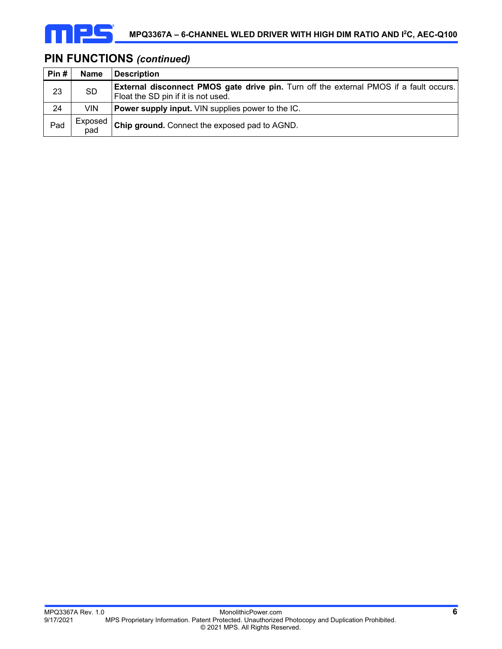

# **PIN FUNCTIONS** *(continued)*

| Pin# | <b>Name</b>    | Description                                                                                                                          |
|------|----------------|--------------------------------------------------------------------------------------------------------------------------------------|
| 23   | <b>SD</b>      | <b>External disconnect PMOS gate drive pin.</b> Turn off the external PMOS if a fault occurs.<br>Float the SD pin if it is not used. |
| 24   | <b>VIN</b>     | <b>Power supply input.</b> VIN supplies power to the IC.                                                                             |
| Pad  | Exposed<br>pad | <b>Chip ground.</b> Connect the exposed pad to AGND.                                                                                 |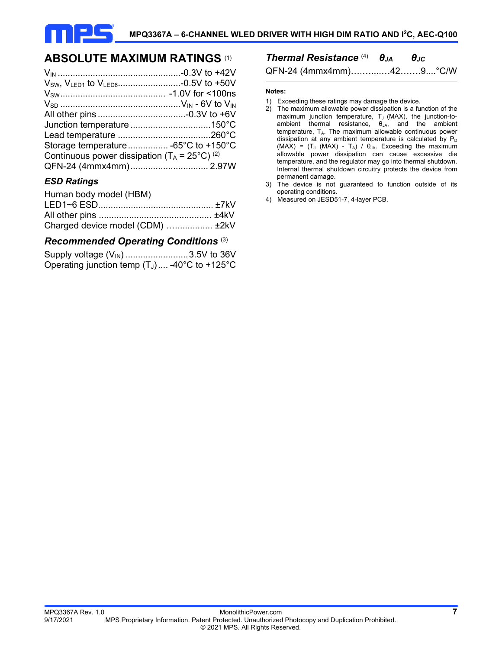

## **ABSOLUTE MAXIMUM RATINGS** (1)

| Storage temperature -65°C to +150°C                      |  |
|----------------------------------------------------------|--|
| Continuous power dissipation ( $T_A = 25^{\circ}C$ ) (2) |  |
|                                                          |  |

#### *ESD Ratings*

| Human body model (HBM)           |  |
|----------------------------------|--|
|                                  |  |
|                                  |  |
| Charged device model (CDM)  ±2kV |  |

#### *Recommended Operating Conditions* (3)

| Supply voltage (V <sub>IN</sub> ) 3.5V to 36V   |  |
|-------------------------------------------------|--|
| Operating junction temp $(T_J)$ -40°C to +125°C |  |

# *Thermal Resistance* (4)*θJA θJC*

QFN-24 (4mmx4mm)….…....…42…….9....°C/W

#### **Notes:**

- 1) Exceeding these ratings may damage the device.
- 2) The maximum allowable power dissipation is a function of the maximum junction temperature, T<sub>J</sub> (MAX), the junction-toambient thermal resistance,  $\theta_{JA}$ , and the ambient temperature,  $T_{A}$ . The maximum allowable continuous power dissipation at any ambient temperature is calculated by  $P_D$  $(MAX) = (T_J (MAX) - T_A) / \theta_{JA}$ . Exceeding the maximum allowable power dissipation can cause excessive die temperature, and the regulator may go into thermal shutdown. Internal thermal shutdown circuitry protects the device from permanent damage.
- 3) The device is not guaranteed to function outside of its operating conditions.
- 4) Measured on JESD51-7, 4-layer PCB.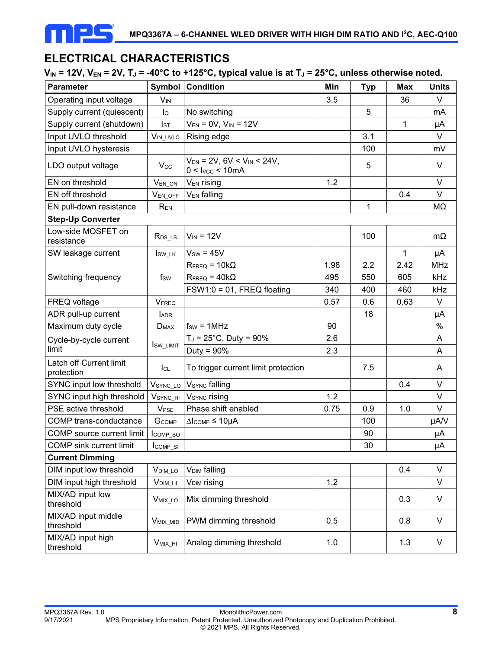

# **ELECTRICAL CHARACTERISTICS**

#### $V_{IN}$  = 12V,  $V_{EN}$  = 2V,  $T_J$  = -40°C to +125°C, typical value is at  $T_J$  = 25°C, unless otherwise noted.

| <b>Parameter</b>                      |                        | <b>Symbol Condition</b>                                           | Min  | <b>Typ</b> | <b>Max</b>   | <b>Units</b> |
|---------------------------------------|------------------------|-------------------------------------------------------------------|------|------------|--------------|--------------|
| Operating input voltage               | $V_{IN}$               |                                                                   | 3.5  |            | 36           | V            |
| Supply current (quiescent)            | lQ                     | No switching                                                      |      | 5          |              | mA           |
| Supply current (shutdown)             | IsT                    | $V_{EN} = 0V$ , $V_{IN} = 12V$                                    |      |            | $\mathbf{1}$ | μA           |
| Input UVLO threshold                  | $V_{IN\_UVLO}$         | Rising edge                                                       |      | 3.1        |              | V            |
| Input UVLO hysteresis                 |                        |                                                                   |      | 100        |              | mV           |
| LDO output voltage                    | <b>Vcc</b>             | $V_{EN}$ = 2V, 6V < V <sub>IN</sub> < 24V,<br>$0 <$ Ivcc $<$ 10mA |      | 5          |              | V            |
| EN on threshold                       | $V_{EN\_ON}$           | V <sub>EN</sub> rising                                            | 1.2  |            |              | V            |
| EN off threshold                      | VEN_OFF                | <b>VEN</b> falling                                                |      |            | 0.4          | $\vee$       |
| EN pull-down resistance               | REN                    |                                                                   |      | 1          |              | MΩ           |
| <b>Step-Up Converter</b>              |                        |                                                                   |      |            |              |              |
| Low-side MOSFET on<br>resistance      | $R_{DS\_{LS}}$         | $V_{IN} = 12V$                                                    |      | 100        |              | $m\Omega$    |
| SW leakage current                    | Isw_LK                 | $V_{SW} = 45V$                                                    |      |            | $\mathbf{1}$ | μA           |
|                                       |                        | $R_{\text{FREQ}} = 10k\Omega$                                     | 1.98 | 2.2        | 2.42         | <b>MHz</b>   |
| Switching frequency                   | fsw                    | $R_{\text{FREQ}} = 40k\Omega$                                     | 495  | 550        | 605          | kHz          |
|                                       |                        | $FSW1:0 = 01$ , FREQ floating                                     | 340  | 400        | 460          | kHz          |
| FREQ voltage                          | VFREQ                  |                                                                   | 0.57 | 0.6        | 0.63         | V            |
| ADR pull-up current                   | <b>LADR</b>            |                                                                   |      | 18         |              | μA           |
| Maximum duty cycle                    | <b>DMAX</b>            | $f_{SW} = 1 MHz$                                                  | 90   |            |              | $\%$         |
| Cycle-by-cycle current                |                        | $T_J = 25^{\circ}C$ , Duty = 90%                                  | 2.6  |            |              | A            |
| limit                                 | <b>I</b> sw_LIMIT      | Duty = $90\%$                                                     | 2.3  |            |              | A            |
| Latch off Current limit<br>protection | $I_{CL}$               | To trigger current limit protection                               |      | 7.5        |              | A            |
| SYNC input low threshold              |                        | VSYNC_LO VSYNC falling                                            |      |            | 0.4          | V            |
| SYNC input high threshold             | $VSYNC_H$              | V <sub>SYNC</sub> rising                                          | 1.2  |            |              | $\vee$       |
| PSE active threshold                  | <b>V<sub>PSE</sub></b> | Phase shift enabled                                               | 0.75 | 0.9        | 1.0          | V            |
| COMP trans-conductance                | GCOMP                  | $\Delta$ Icomp $\leq 10$ µA                                       |      | 100        |              | µA/V         |
| COMP source current limit             | $I_{COMP_5O}$          |                                                                   |      | 90         |              | μA           |
| COMP sink current limit               | $I_{COMP\_SI}$         |                                                                   |      | $30\,$     |              | $\mu A$      |
| <b>Current Dimming</b>                |                        |                                                                   |      |            |              |              |
| DIM input low threshold               | V <sub>DIM_LO</sub>    | <b>V<sub>DIM</sub></b> falling                                    |      |            | 0.4          | V            |
| DIM input high threshold              | $VDIM_HI$              | V <sub>DIM</sub> rising                                           | 1.2  |            |              | V            |
| MIX/AD input low<br>threshold         | V <sub>MIX_LO</sub>    | Mix dimming threshold                                             |      |            | 0.3          | V            |
| MIX/AD input middle<br>threshold      | V <sub>MIX_MID</sub>   | PWM dimming threshold                                             | 0.5  |            | 0.8          | V            |
| MIX/AD input high<br>threshold        | $V_{MIX_HI}$           | Analog dimming threshold                                          | 1.0  |            | 1.3          | V            |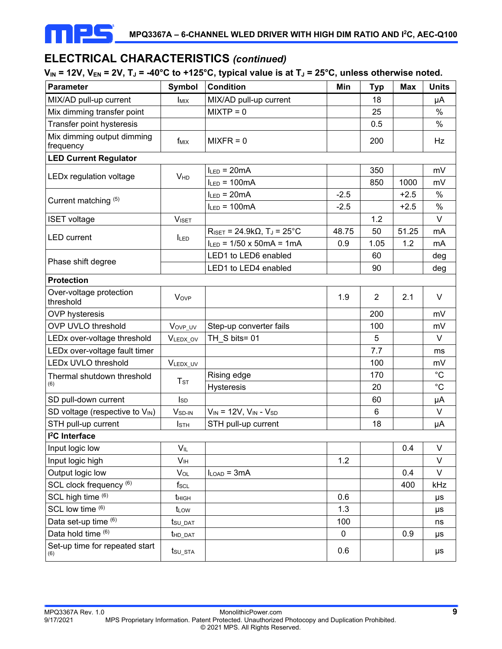

## **ELECTRICAL CHARACTERISTICS** *(continued)*

### $V_{IN}$  = 12V,  $V_{EN}$  = 2V,  $T_J$  = -40°C to +125°C, typical value is at  $T_J$  = 25°C, unless otherwise noted.

| <b>Parameter</b>                        | <b>Symbol</b>           | <b>Condition</b>                                                | Min    | <b>Typ</b>     | <b>Max</b> | <b>Units</b> |
|-----------------------------------------|-------------------------|-----------------------------------------------------------------|--------|----------------|------------|--------------|
| MIX/AD pull-up current                  | <b>I</b> <sub>MIX</sub> | MIX/AD pull-up current                                          |        | 18             |            | μA           |
| Mix dimming transfer point              |                         | $MIXTP = 0$                                                     |        | 25             |            | %            |
| Transfer point hysteresis               |                         |                                                                 |        | 0.5            |            | $\%$         |
| Mix dimming output dimming<br>frequency | fміх                    | $MIXFR = 0$                                                     |        | 200            |            | Hz           |
| <b>LED Current Regulator</b>            |                         |                                                                 |        |                |            |              |
|                                         |                         | $I_{LED} = 20mA$                                                |        | 350            |            | mV           |
| LEDx regulation voltage                 | <b>V<sub>HD</sub></b>   | $I_{LED} = 100mA$                                               |        | 850            | 1000       | mV           |
|                                         |                         | $I_{LED} = 20mA$                                                | $-2.5$ |                | $+2.5$     | $\%$         |
| Current matching (5)                    |                         | $I_{LED} = 100mA$                                               | $-2.5$ |                | $+2.5$     | $\%$         |
| <b>ISET</b> voltage                     | <b>VISET</b>            |                                                                 |        | 1.2            |            | $\vee$       |
|                                         |                         | $R_{\text{ISET}} = 24.9 \text{k}\Omega$ , T <sub>J</sub> = 25°C | 48.75  | 50             | 51.25      | mA           |
| <b>LED</b> current                      | <b>ILED</b>             | $I_{LED}$ = 1/50 x 50mA = 1mA                                   | 0.9    | 1.05           | 1.2        | mA           |
|                                         |                         | LED1 to LED6 enabled                                            |        | 60             |            | deg          |
| Phase shift degree                      |                         | LED1 to LED4 enabled                                            |        | 90             |            | deg          |
| <b>Protection</b>                       |                         |                                                                 |        |                |            |              |
| Over-voltage protection<br>threshold    | Vove                    |                                                                 | 1.9    | $\overline{2}$ | 2.1        | V            |
| <b>OVP</b> hysteresis                   |                         |                                                                 |        | 200            |            | mV           |
| <b>OVP UVLO threshold</b>               | VovP_uv                 | Step-up converter fails                                         |        | 100            |            | mV           |
| LEDx over-voltage threshold             | VLEDX_OV                | TH_S bits= 01                                                   |        | 5              |            | $\vee$       |
| LEDx over-voltage fault timer           |                         |                                                                 |        | 7.7            |            | ms           |
| <b>LEDx UVLO threshold</b>              | VLEDX_UV                |                                                                 |        | 100            |            | mV           |
| Thermal shutdown threshold              |                         | Rising edge                                                     |        | 170            |            | $^{\circ}C$  |
| (6)                                     | $T_{\textrm{ST}}$       | <b>Hysteresis</b>                                               |        | 20             |            | $^{\circ}C$  |
| SD pull-down current                    | $I_{SD}$                |                                                                 |        | 60             |            | μA           |
| SD voltage (respective to VIN)          | V <sub>SD-IN</sub>      | $V_{IN}$ = 12V, $V_{IN}$ - $V_{SD}$                             |        | 6              |            | V            |
| STH pull-up current                     | <b>I</b> sth            | STH pull-up current                                             |        | 18             |            | μA           |
| <sup>2</sup> C Interface                |                         |                                                                 |        |                |            |              |
| Input logic low                         | $V_{IL}$                |                                                                 |        |                | 0.4        | V            |
| Input logic high                        | V <sub>IH</sub>         |                                                                 | 1.2    |                |            | V            |
| Output logic low                        | Vol                     | $I_{LOAD} = 3mA$                                                |        |                | 0.4        | V            |
| SCL clock frequency (6)                 | $f_{\rm SCL}$           |                                                                 |        |                | 400        | kHz          |
| SCL high time (6)                       | t <sub>HIGH</sub>       |                                                                 | 0.6    |                |            | μs           |
| SCL low time (6)                        | t <sub>LOW</sub>        |                                                                 | 1.3    |                |            | μs           |
| Data set-up time (6)                    | tsu_dat                 |                                                                 | 100    |                |            | ns           |
| Data hold time (6)                      | t <sub>HD_DAT</sub>     |                                                                 | 0      |                | 0.9        | μs           |
| Set-up time for repeated start<br>(6)   | t <sub>su_sta</sub>     |                                                                 | 0.6    |                |            | $\mu s$      |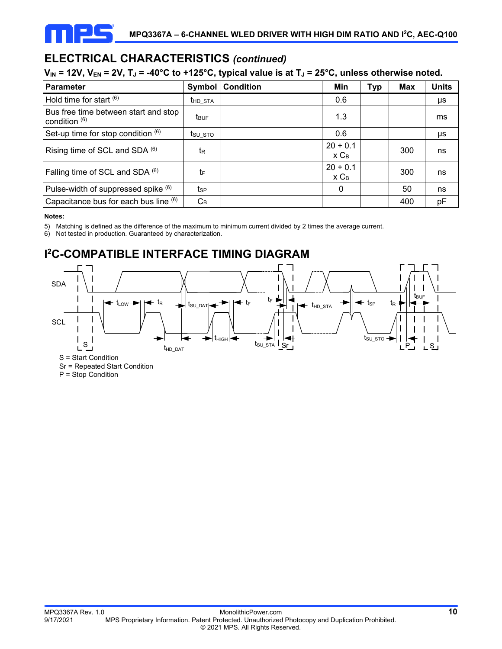

# **ELECTRICAL CHARACTERISTICS** *(continued)*

#### $V_{IN}$  = 12V,  $V_{EN}$  = 2V,  $T_J$  = -40°C to +125°C, typical value is at  $T_J$  = 25°C, unless otherwise noted.

| <b>Parameter</b>                                        | Symbol              | <b>Condition</b> | Min                   | Тур | Max | <b>Units</b> |
|---------------------------------------------------------|---------------------|------------------|-----------------------|-----|-----|--------------|
| Hold time for start $(6)$                               | t <sub>HD_STA</sub> |                  | 0.6                   |     |     | μs           |
| Bus free time between start and stop<br>condition $(6)$ | t <sub>BUF</sub>    |                  | 1.3                   |     |     | ms           |
| Set-up time for stop condition $(6)$                    | $t_{\text{SU STO}}$ |                  | 0.6                   |     |     | μs           |
| Rising time of SCL and SDA $(6)$                        | tR                  |                  | $20 + 0.1$<br>$x C_B$ |     | 300 | ns           |
| Falling time of SCL and SDA (6)                         | tF                  |                  | $20 + 0.1$<br>$x C_B$ |     | 300 | ns           |
| Pulse-width of suppressed spike (6)                     | tsp                 |                  | $\mathbf{0}$          |     | 50  | ns           |
| Capacitance bus for each bus line (6)                   | $C_B$               |                  |                       |     | 400 | pF           |

#### **Notes:**

5) Matching is defined as the difference of the maximum to minimum current divided by 2 times the average current.

6) Not tested in production. Guaranteed by characterization.

# **I 2C-COMPATIBLE INTERFACE TIMING DIAGRAM**



Sr = Repeated Start Condition

P = Stop Condition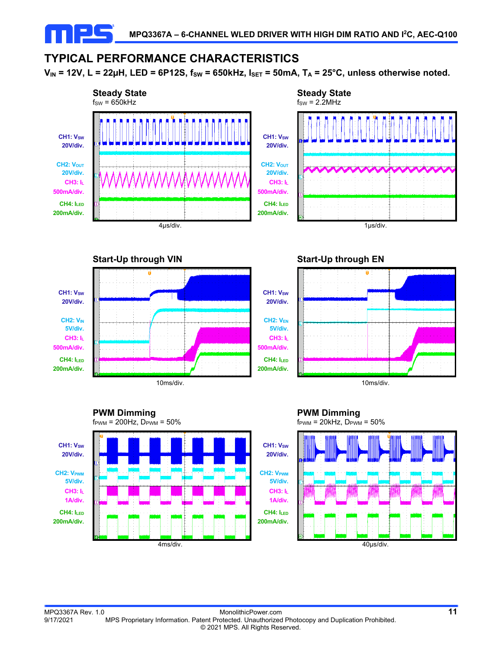## **TYPICAL PERFORMANCE CHARACTERISTICS**

 $V_{IN}$  = 12V, L = 22µH, LED = 6P12S,  $f_{SW}$  = 650kHz,  $I_{SET}$  = 50mA,  $T_A$  = 25°C, unless otherwise noted.













**PWM Dimming**   $f_{\text{PWM}} = 20$ kHz,  $D_{\text{PWM}} = 50\%$ 

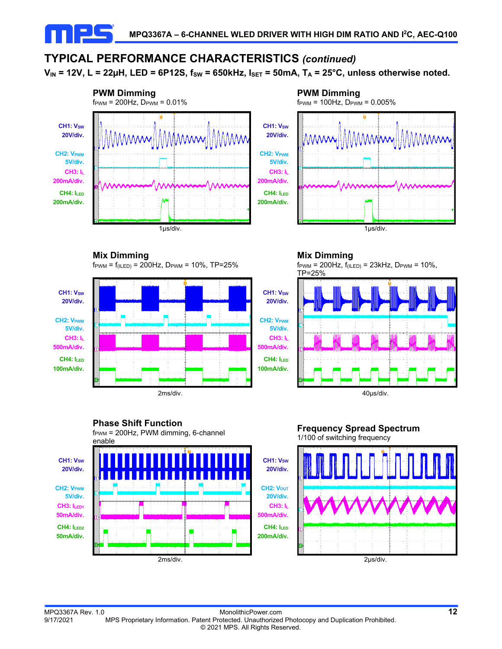# **TYPICAL PERFORMANCE CHARACTERISTICS** *(continued)*

 $V_{IN}$  = 12V, L = 22µH, LED = 6P12S,  $f_{SW}$  = 650kHz,  $I_{SET}$  = 50mA,  $T_A$  = 25°C, unless otherwise noted.



 **Mix Dimming** 

 $f_{\text{PWM}} = f_{\text{(ILED)}} = 200 \text{Hz}$ ,  $D_{\text{PWM}} = 10\%$ , TP=25%



## **Phase Shift Function**

 $f_{\text{PWM}} = 200$ Hz, PWM dimming, 6-channel



**PWM Dimming**   $f_{\text{PWM}} = 100 \text{Hz}$ ,  $D_{\text{PWM}} = 0.005\%$ 



**Mix Dimming** 

 $f_{\text{PWM}} = 200 \text{Hz}, f_{(\text{ILED})} = 23 \text{kHz}, D_{\text{PWM}} = 10\%,$ TP=25%



#### **Frequency Spread Spectrum**  1/100 of switching frequency

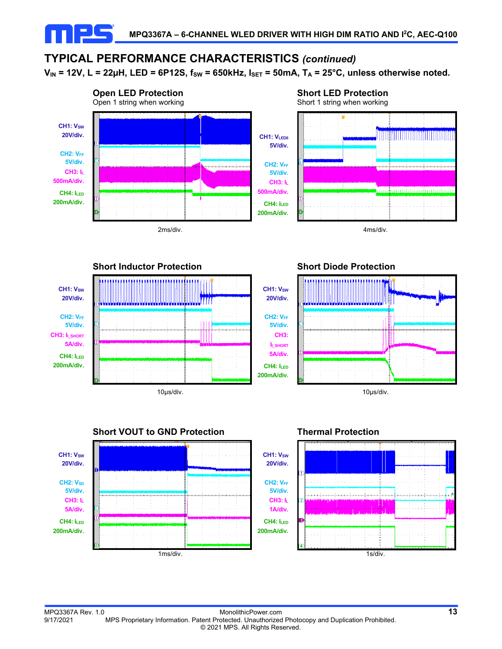# **TYPICAL PERFORMANCE CHARACTERISTICS** *(continued)*

 $V_{IN}$  = 12V, L = 22µH, LED = 6P12S,  $f_{SW}$  = 650kHz,  $I_{SET}$  = 50mA,  $T_A$  = 25°C, unless otherwise noted.









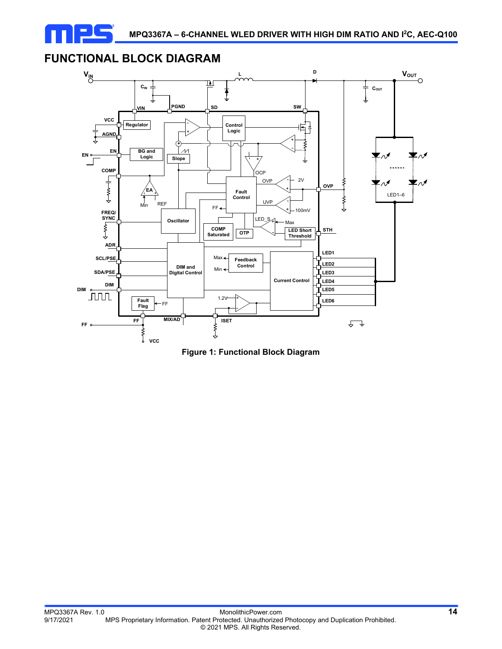

## **FUNCTIONAL BLOCK DIAGRAM**



**Figure 1: Functional Block Diagram**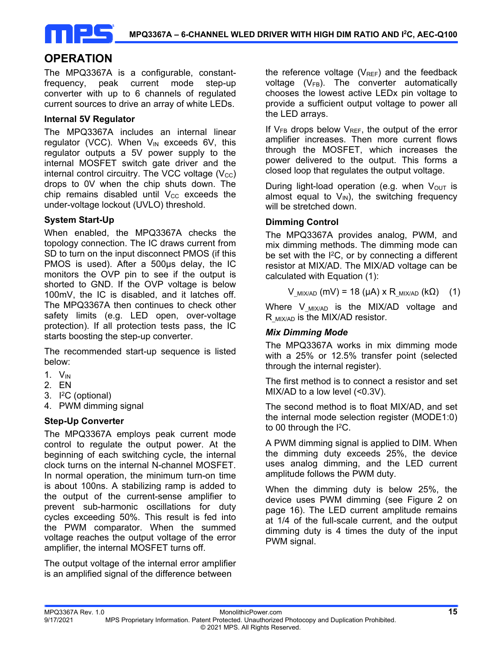

## **OPERATION**

The MPQ3367A is a configurable, constantfrequency, peak current mode step-up converter with up to 6 channels of regulated current sources to drive an array of white LEDs.

#### **Internal 5V Regulator**

The MPQ3367A includes an internal linear regulator (VCC). When  $V_{IN}$  exceeds 6V, this regulator outputs a 5V power supply to the internal MOSFET switch gate driver and the internal control circuitry. The VCC voltage  $(V_{\text{CC}})$ drops to 0V when the chip shuts down. The chip remains disabled until  $V_{CC}$  exceeds the under-voltage lockout (UVLO) threshold.

#### **System Start-Up**

When enabled, the MPQ3367A checks the topology connection. The IC draws current from SD to turn on the input disconnect PMOS (if this PMOS is used). After a 500μs delay, the IC monitors the OVP pin to see if the output is shorted to GND. If the OVP voltage is below 100mV, the IC is disabled, and it latches off. The MPQ3367A then continues to check other safety limits (e.g. LED open, over-voltage protection). If all protection tests pass, the IC starts boosting the step-up converter.

The recommended start-up sequence is listed below:

- 1. VIN
- 2. EN
- 3.  $I^2C$  (optional)
- 4. PWM dimming signal

#### **Step-Up Converter**

The MPQ3367A employs peak current mode control to regulate the output power. At the beginning of each switching cycle, the internal clock turns on the internal N-channel MOSFET. In normal operation, the minimum turn-on time is about 100ns. A stabilizing ramp is added to the output of the current-sense amplifier to prevent sub-harmonic oscillations for duty cycles exceeding 50%. This result is fed into the PWM comparator. When the summed voltage reaches the output voltage of the error amplifier, the internal MOSFET turns off.

The output voltage of the internal error amplifier is an amplified signal of the difference between

the reference voltage  $(V_{REF})$  and the feedback voltage  $(V_{FB})$ . The converter automatically chooses the lowest active LEDx pin voltage to provide a sufficient output voltage to power all the LED arrays.

If  $V_{FB}$  drops below  $V_{REF}$ , the output of the error amplifier increases. Then more current flows through the MOSFET, which increases the power delivered to the output. This forms a closed loop that regulates the output voltage.

During light-load operation (e.g. when  $V_{\text{OUT}}$  is almost equal to  $V_{\text{IN}}$ ), the switching frequency will be stretched down.

#### **Dimming Control**

The MPQ3367A provides analog, PWM, and mix dimming methods. The dimming mode can be set with the  $I^2C$ , or by connecting a different resistor at MIX/AD. The MIX/AD voltage can be calculated with Equation (1):

V <sub>MIX/AD</sub> (mV) = 18 (μA) x R <sub>MIX/AD</sub> (kΩ) (1)

Where V  $_{MIX/AD}$  is the MIX/AD voltage and  $R_{MIX/AD}$  is the MIX/AD resistor.

#### *Mix Dimming Mode*

The MPQ3367A works in mix dimming mode with a 25% or 12.5% transfer point (selected through the internal register).

The first method is to connect a resistor and set MIX/AD to a low level (<0.3V).

The second method is to float MIX/AD, and set the internal mode selection register (MODE1:0) to 00 through the I<sup>2</sup>C.

A PWM dimming signal is applied to DIM. When the dimming duty exceeds 25%, the device uses analog dimming, and the LED current amplitude follows the PWM duty.

When the dimming duty is below 25%, the device uses PWM dimming (see Figure 2 on page 16). The LED current amplitude remains at 1/4 of the full-scale current, and the output dimming duty is 4 times the duty of the input PWM signal.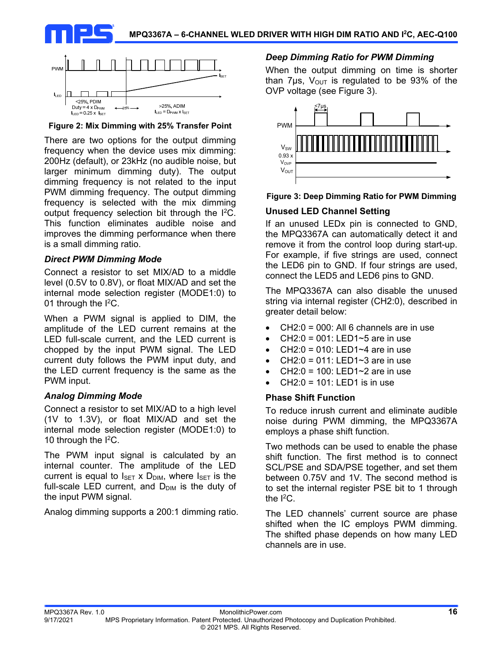



**Figure 2: Mix Dimming with 25% Transfer Point** 

There are two options for the output dimming frequency when the device uses mix dimming: 200Hz (default), or 23kHz (no audible noise, but larger minimum dimming duty). The output dimming frequency is not related to the input PWM dimming frequency. The output dimming frequency is selected with the mix dimming output frequency selection bit through the I2C. This function eliminates audible noise and improves the dimming performance when there is a small dimming ratio.

#### *Direct PWM Dimming Mode*

Connect a resistor to set MIX/AD to a middle level (0.5V to 0.8V), or float MIX/AD and set the internal mode selection register (MODE1:0) to 01 through the I2C.

When a PWM signal is applied to DIM, the amplitude of the LED current remains at the LED full-scale current, and the LED current is chopped by the input PWM signal. The LED current duty follows the PWM input duty, and the LED current frequency is the same as the PWM input.

#### *Analog Dimming Mode*

Connect a resistor to set MIX/AD to a high level (1V to 1.3V), or float MIX/AD and set the internal mode selection register (MODE1:0) to 10 through the I<sup>2</sup>C.

The PWM input signal is calculated by an internal counter. The amplitude of the LED current is equal to  $I_{\text{SET}}$  x  $D_{\text{DIM}}$ , where  $I_{\text{SET}}$  is the full-scale LED current, and  $D_{\text{DIM}}$  is the duty of the input PWM signal.

Analog dimming supports a 200:1 dimming ratio.

#### *Deep Dimming Ratio for PWM Dimming*

When the output dimming on time is shorter than 7 $\mu$ s, V<sub>OUT</sub> is regulated to be 93% of the OVP voltage (see Figure 3).



#### **Figure 3: Deep Dimming Ratio for PWM Dimming**

#### **Unused LED Channel Setting**

If an unused LEDx pin is connected to GND, the MPQ3367A can automatically detect it and remove it from the control loop during start-up. For example, if five strings are used, connect the LED6 pin to GND. If four strings are used, connect the LED5 and LED6 pins to GND.

The MPQ3367A can also disable the unused string via internal register (CH2:0), described in greater detail below:

- $\bullet$  CH2:0 = 000: All 6 channels are in use
- CH2:0 = 001: LED1~5 are in use
- $\bullet$  CH2:0 = 010: LED1~4 are in use
- CH2:0 = 011: LED1 $\sim$ 3 are in use
- CH2:0 = 100: LED1~2 are in use
- CH2:0 = 101: LED1 is in use

#### **Phase Shift Function**

To reduce inrush current and eliminate audible noise during PWM dimming, the MPQ3367A employs a phase shift function.

Two methods can be used to enable the phase shift function. The first method is to connect SCL/PSE and SDA/PSE together, and set them between 0.75V and 1V. The second method is to set the internal register PSE bit to 1 through the  $12C$ .

The LED channels' current source are phase shifted when the IC employs PWM dimming. The shifted phase depends on how many LED channels are in use.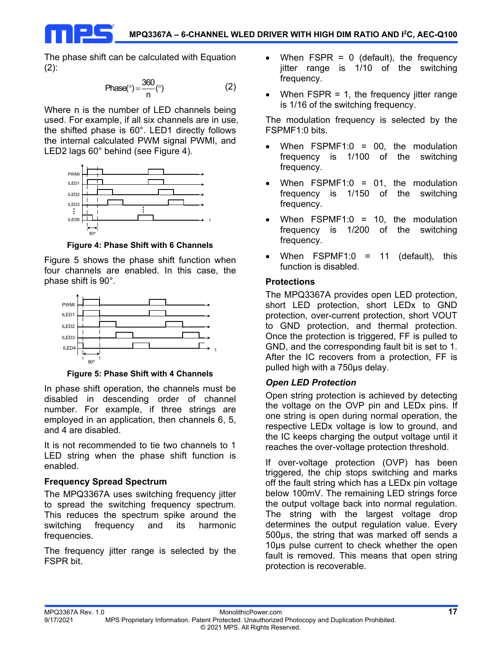The phase shift can be calculated with Equation (2):

$$
Phase(^{\circ}) = \frac{360}{n} (^{\circ})
$$
 (2)

Where n is the number of LED channels being used. For example, if all six channels are in use, the shifted phase is 60°. LED1 directly follows the internal calculated PWM signal PWMI, and LED2 lags 60° behind (see Figure 4).



**Figure 4: Phase Shift with 6 Channels** 

Figure 5 shows the phase shift function when four channels are enabled. In this case, the phase shift is 90°.



**Figure 5: Phase Shift with 4 Channels** 

In phase shift operation, the channels must be disabled in descending order of channel number. For example, if three strings are employed in an application, then channels 6, 5, and 4 are disabled.

It is not recommended to tie two channels to 1 LED string when the phase shift function is enabled.

## **Frequency Spread Spectrum**

The MPQ3367A uses switching frequency jitter to spread the switching frequency spectrum. This reduces the spectrum spike around the switching frequency and its harmonic frequencies.

The frequency jitter range is selected by the FSPR bit.

- When  $FSPR = 0$  (default), the frequency jitter range is 1/10 of the switching frequency.
- When FSPR = 1, the frequency jitter range is 1/16 of the switching frequency.

The modulation frequency is selected by the FSPMF1:0 bits.

- When FSPMF1:0 = 00, the modulation frequency is 1/100 of the switching frequency.
- When FSPMF1:0 = 01, the modulation frequency is 1/150 of the switching frequency.
- When FSPMF1:0 = 10, the modulation frequency is 1/200 of the switching frequency.
- When FSPMF1:0 = 11 (default), this function is disabled.

## **Protections**

The MPQ3367A provides open LED protection, short LED protection, short LEDx to GND protection, over-current protection, short VOUT to GND protection, and thermal protection. Once the protection is triggered, FF is pulled to GND, and the corresponding fault bit is set to 1. After the IC recovers from a protection, FF is pulled high with a 750μs delay.

## *Open LED Protection*

Open string protection is achieved by detecting the voltage on the OVP pin and LEDx pins. If one string is open during normal operation, the respective LEDx voltage is low to ground, and the IC keeps charging the output voltage until it reaches the over-voltage protection threshold.

If over-voltage protection (OVP) has been triggered, the chip stops switching and marks off the fault string which has a LEDx pin voltage below 100mV. The remaining LED strings force the output voltage back into normal regulation. The string with the largest voltage drop determines the output regulation value. Every 500μs, the string that was marked off sends a 10μs pulse current to check whether the open fault is removed. This means that open string protection is recoverable.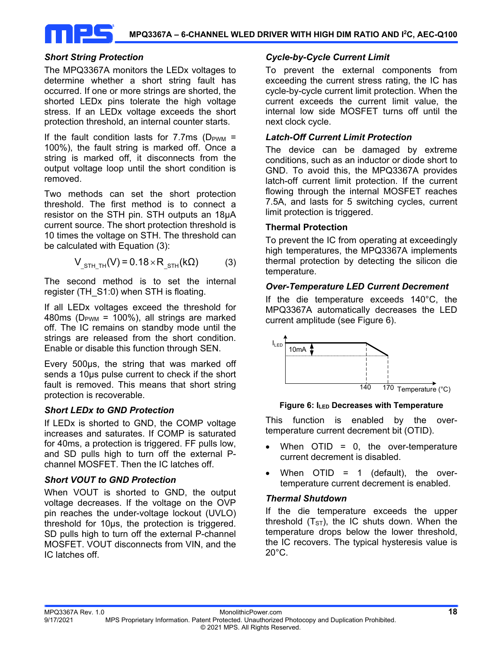

#### *Short String Protection*

The MPQ3367A monitors the LEDx voltages to determine whether a short string fault has occurred. If one or more strings are shorted, the shorted LEDx pins tolerate the high voltage stress. If an LEDx voltage exceeds the short protection threshold, an internal counter starts.

If the fault condition lasts for 7.7ms ( $D_{PWM}$  = 100%), the fault string is marked off. Once a string is marked off, it disconnects from the output voltage loop until the short condition is removed.

Two methods can set the short protection threshold. The first method is to connect a resistor on the STH pin. STH outputs an 18μA current source. The short protection threshold is 10 times the voltage on STH. The threshold can be calculated with Equation (3):

$$
V_{\text{STH\_TH}}(V) = 0.18 \times R_{\text{STH}}(k\Omega)
$$
 (3)

The second method is to set the internal register (TH\_S1:0) when STH is floating.

If all LEDx voltages exceed the threshold for 480ms ( $D_{\text{PWM}}$  = 100%), all strings are marked off. The IC remains on standby mode until the strings are released from the short condition. Enable or disable this function through SEN.

Every 500μs, the string that was marked off sends a 10μs pulse current to check if the short fault is removed. This means that short string protection is recoverable.

## *Short LEDx to GND Protection*

If LEDx is shorted to GND, the COMP voltage increases and saturates. If COMP is saturated for 40ms, a protection is triggered. FF pulls low, and SD pulls high to turn off the external Pchannel MOSFET. Then the IC latches off.

## *Short VOUT to GND Protection*

When VOUT is shorted to GND, the output voltage decreases. If the voltage on the OVP pin reaches the under-voltage lockout (UVLO) threshold for 10μs, the protection is triggered. SD pulls high to turn off the external P-channel MOSFET. VOUT disconnects from VIN, and the IC latches off.

### *Cycle-by-Cycle Current Limit*

To prevent the external components from exceeding the current stress rating, the IC has cycle-by-cycle current limit protection. When the current exceeds the current limit value, the internal low side MOSFET turns off until the next clock cycle.

#### *Latch-Off Current Limit Protection*

The device can be damaged by extreme conditions, such as an inductor or diode short to GND. To avoid this, the MPQ3367A provides latch-off current limit protection. If the current flowing through the internal MOSFET reaches 7.5A, and lasts for 5 switching cycles, current limit protection is triggered.

#### **Thermal Protection**

To prevent the IC from operating at exceedingly high temperatures, the MPQ3367A implements thermal protection by detecting the silicon die temperature.

#### *Over-Temperature LED Current Decrement*

If the die temperature exceeds 140°C, the MPQ3367A automatically decreases the LED current amplitude (see Figure 6).



#### **Figure 6: ILED Decreases with Temperature**

This function is enabled by the overtemperature current decrement bit (OTID).

- $\bullet$  When OTID = 0, the over-temperature current decrement is disabled.
- $\bullet$  When OTID = 1 (default), the overtemperature current decrement is enabled.

#### *Thermal Shutdown*

If the die temperature exceeds the upper threshold  $(T<sub>ST</sub>)$ , the IC shuts down. When the temperature drops below the lower threshold, the IC recovers. The typical hysteresis value is 20°C.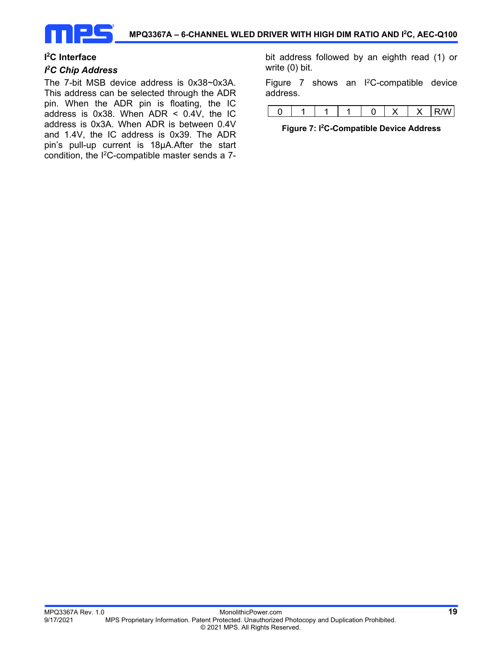

#### **I 2 C Interface**

#### *I 2 C Chip Address*

The 7-bit MSB device address is 0x38~0x3A. This address can be selected through the ADR pin. When the ADR pin is floating, the IC address is 0x38. When ADR < 0.4V, the IC address is 0x3A. When ADR is between 0.4V and 1.4V, the IC address is 0x39. The ADR pin's pull-up current is 18µA.After the start condition, the I2C-compatible master sends a 7-

bit address followed by an eighth read (1) or write (0) bit.

Figure 7 shows an I2C-compatible device address.

|--|--|--|--|--|--|

#### **Figure 7: I2C-Compatible Device Address**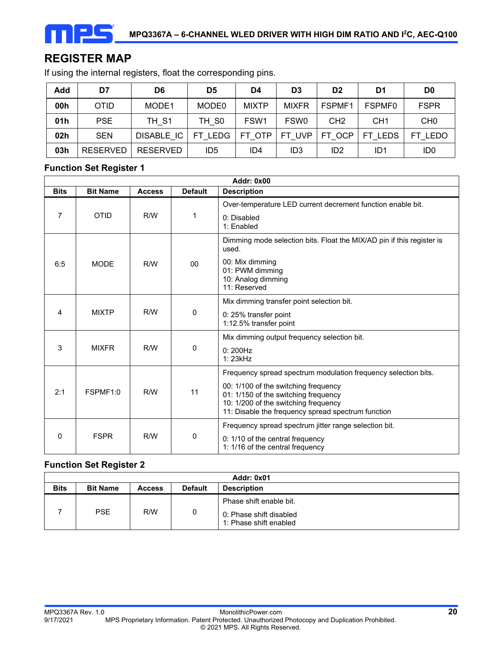# **REGISTER MAP**

If using the internal registers, float the corresponding pins.

| Add             | D7              | D6                | D5                | D4               | D <sub>3</sub>   | D <sub>2</sub>  | D1                | D <sub>0</sub>  |
|-----------------|-----------------|-------------------|-------------------|------------------|------------------|-----------------|-------------------|-----------------|
| 00h             | OTID            | MODE1             | MODE <sub>0</sub> | <b>MIXTP</b>     | <b>MIXFR</b>     | FSPMF1          | FSPMF0            | <b>FSPR</b>     |
| 01h             | <b>PSE</b>      | TH S1             | TH SO             | FSW <sub>1</sub> | FSW <sub>0</sub> | CH <sub>2</sub> | CH <sub>1</sub>   | CH <sub>0</sub> |
| 02 <sub>h</sub> | <b>SEN</b>      | <b>DISABLE IC</b> | FT LEDG           | FT OTP           | FT UVP           | FT OCP          | FТ<br><b>LEDS</b> | LEDO<br>FT      |
| 03h             | <b>RESERVED</b> | <b>RESERVED</b>   | ID5               | ID4              | ID3              | ID <sub>2</sub> | ID1               | ID <sub>0</sub> |

#### **Function Set Register 1**

| Addr: 0x00  |                 |               |                |                                                                                                                                                                                                                                              |  |  |
|-------------|-----------------|---------------|----------------|----------------------------------------------------------------------------------------------------------------------------------------------------------------------------------------------------------------------------------------------|--|--|
| <b>Bits</b> | <b>Bit Name</b> | <b>Access</b> | <b>Default</b> | <b>Description</b>                                                                                                                                                                                                                           |  |  |
| 7           | <b>OTID</b>     | R/W           | 1              | Over-temperature LED current decrement function enable bit.<br>0: Disabled<br>1: Enabled                                                                                                                                                     |  |  |
| 6:5         | <b>MODE</b>     | R/W           | 00             | Dimming mode selection bits. Float the MIX/AD pin if this register is<br>used.<br>00: Mix dimming<br>01: PWM dimming<br>10: Analog dimming<br>11: Reserved                                                                                   |  |  |
| 4           | <b>MIXTP</b>    | R/W           | 0              | Mix dimming transfer point selection bit.<br>0: 25% transfer point<br>1:12.5% transfer point                                                                                                                                                 |  |  |
| 3           | <b>MIXFR</b>    | R/W           | 0              | Mix dimming output frequency selection bit.<br>0:200Hz<br>1: 23kHz                                                                                                                                                                           |  |  |
| 2:1         | FSPMF1:0        | R/W           | 11             | Frequency spread spectrum modulation frequency selection bits.<br>00: 1/100 of the switching frequency<br>01: 1/150 of the switching frequency<br>10: 1/200 of the switching frequency<br>11: Disable the frequency spread spectrum function |  |  |
| $\Omega$    | <b>FSPR</b>     | R/W           | 0              | Frequency spread spectrum jitter range selection bit.<br>0: 1/10 of the central frequency<br>1: 1/16 of the central frequency                                                                                                                |  |  |

## **Function Set Register 2**

| Addr: 0x01  |                 |               |                |                                                                              |  |
|-------------|-----------------|---------------|----------------|------------------------------------------------------------------------------|--|
| <b>Bits</b> | <b>Bit Name</b> | <b>Access</b> | <b>Default</b> | <b>Description</b>                                                           |  |
|             | <b>PSE</b>      | R/W           | 0              | Phase shift enable bit.<br>0: Phase shift disabled<br>1: Phase shift enabled |  |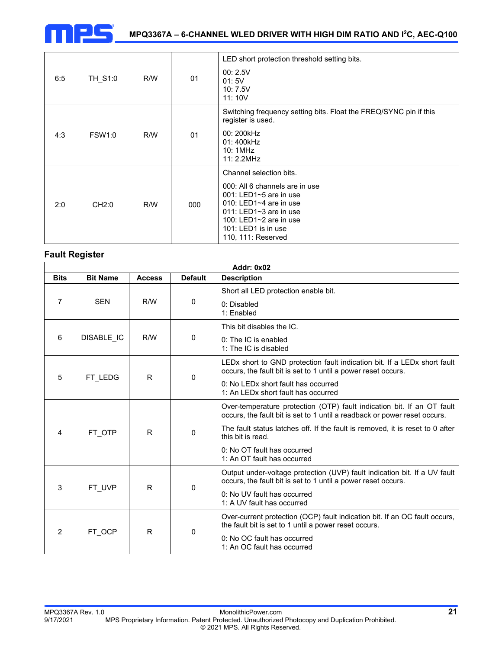

## **MPQ3367A – 6-CHANNEL WLED DRIVER WITH HIGH DIM RATIO AND I2C, AEC-Q100**

| 6:5 | TH_S1:0           | R/W | 01  | LED short protection threshold setting bits.<br>00:2.5V<br>01:5V<br>10:7.5V<br>11:10V                                                                                                                                               |
|-----|-------------------|-----|-----|-------------------------------------------------------------------------------------------------------------------------------------------------------------------------------------------------------------------------------------|
| 4:3 | <b>FSW1:0</b>     | R/W | 01  | Switching frequency setting bits. Float the FREQ/SYNC pin if this<br>register is used.<br>00: 200kHz<br>01: 400kHz<br>10:1MHz<br>11:2.2MHz                                                                                          |
| 2:0 | CH <sub>2:0</sub> | R/W | 000 | Channel selection bits.<br>000: All 6 channels are in use<br>001: LED1~5 are in use<br>010: LED1 $\sim$ 4 are in use<br>011: LED1 $\sim$ 3 are in use<br>100: LED1 $\sim$ 2 are in use<br>101: LED1 is in use<br>110, 111: Reserved |

## **Fault Register**

| <b>Addr: 0x02</b> |                                                                          |     |          |                                                                                                                                                     |  |  |  |
|-------------------|--------------------------------------------------------------------------|-----|----------|-----------------------------------------------------------------------------------------------------------------------------------------------------|--|--|--|
| <b>Bits</b>       | <b>Bit Name</b><br><b>Default</b><br><b>Description</b><br><b>Access</b> |     |          |                                                                                                                                                     |  |  |  |
|                   |                                                                          |     |          | Short all LED protection enable bit.                                                                                                                |  |  |  |
| 7                 | <b>SEN</b>                                                               | R/W | 0        | 0: Disabled<br>1: Enabled                                                                                                                           |  |  |  |
|                   |                                                                          |     |          | This bit disables the IC.                                                                                                                           |  |  |  |
| 6                 | DISABLE IC                                                               | R/W | $\Omega$ | 0: The IC is enabled<br>1: The IC is disabled                                                                                                       |  |  |  |
| 5                 |                                                                          | R   | 0        | LEDx short to GND protection fault indication bit. If a LEDx short fault<br>occurs, the fault bit is set to 1 until a power reset occurs.           |  |  |  |
|                   | FT LEDG                                                                  |     |          | 0: No LEDx short fault has occurred<br>1: An LEDx short fault has occurred                                                                          |  |  |  |
| 4                 | FT OTP                                                                   | R.  | 0        | Over-temperature protection (OTP) fault indication bit. If an OT fault<br>occurs, the fault bit is set to 1 until a readback or power reset occurs. |  |  |  |
|                   |                                                                          |     |          | The fault status latches off. If the fault is removed, it is reset to 0 after<br>this bit is read.                                                  |  |  |  |
|                   |                                                                          |     |          | 0: No OT fault has occurred<br>1: An OT fault has occurred                                                                                          |  |  |  |
| 3                 | FT UVP                                                                   | R   | 0        | Output under-voltage protection (UVP) fault indication bit. If a UV fault<br>occurs, the fault bit is set to 1 until a power reset occurs.          |  |  |  |
|                   |                                                                          |     |          | 0: No UV fault has occurred<br>1: A UV fault has occurred                                                                                           |  |  |  |
| $\mathcal{P}$     | FT OCP                                                                   | R.  | 0        | Over-current protection (OCP) fault indication bit. If an OC fault occurs,<br>the fault bit is set to 1 until a power reset occurs.                 |  |  |  |
|                   |                                                                          |     |          | 0: No OC fault has occurred<br>1: An OC fault has occurred                                                                                          |  |  |  |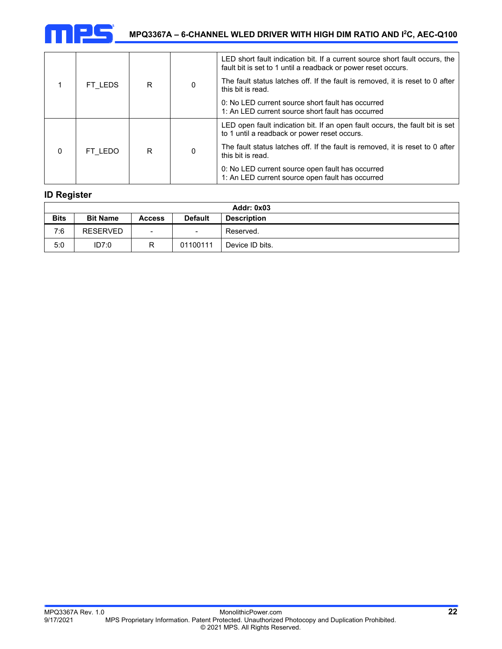

|          |         | R | $\mathbf{0}$ | LED short fault indication bit. If a current source short fault occurs, the<br>fault bit is set to 1 until a readback or power reset occurs. |
|----------|---------|---|--------------|----------------------------------------------------------------------------------------------------------------------------------------------|
|          | FT LEDS |   |              | The fault status latches off. If the fault is removed, it is reset to 0 after<br>this bit is read.                                           |
|          |         |   |              | 0: No LED current source short fault has occurred<br>1: An LED current source short fault has occurred                                       |
| $\Omega$ | FT LEDO | R | $\Omega$     | LED open fault indication bit. If an open fault occurs, the fault bit is set<br>to 1 until a readback or power reset occurs.                 |
|          |         |   |              | The fault status latches off. If the fault is removed, it is reset to 0 after<br>this bit is read.                                           |
|          |         |   |              | 0: No LED current source open fault has occurred<br>1: An LED current source open fault has occurred                                         |

#### **ID Register**

| <b>Addr: 0x03</b> |                 |                          |                          |                    |  |  |  |
|-------------------|-----------------|--------------------------|--------------------------|--------------------|--|--|--|
| <b>Bits</b>       | <b>Bit Name</b> | Access                   | <b>Default</b>           | <b>Description</b> |  |  |  |
| 7:6               | <b>RESERVED</b> | $\overline{\phantom{0}}$ | $\overline{\phantom{0}}$ | Reserved.          |  |  |  |
| 5:0               | ID7:0           |                          | 01100111                 | Device ID bits.    |  |  |  |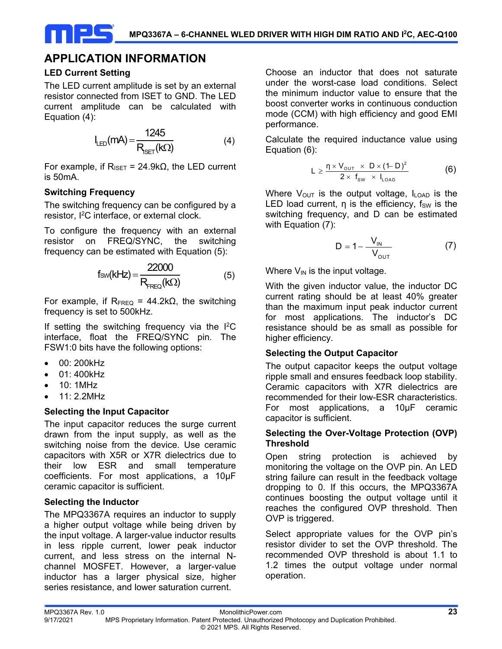## **APPLICATION INFORMATION**

#### **LED Current Setting**

The LED current amplitude is set by an external resistor connected from ISET to GND. The LED current amplitude can be calculated with Equation (4):

$$
I_{LED}(mA) = \frac{1245}{R_{SET}(k\Omega)}\tag{4}
$$

For example, if  $R_{ISET} = 24.9kΩ$ , the LED current is 50mA.

#### **Switching Frequency**

The switching frequency can be configured by a resistor, I2C interface, or external clock.

To configure the frequency with an external resistor on FREQ/SYNC, the switching frequency can be estimated with Equation (5):

$$
f_{SW}(kHz) = \frac{22000}{R_{FREG}(k\Omega)}\tag{5}
$$

For example, if  $R_{FREQ} = 44.2kΩ$ , the switching frequency is set to 500kHz.

If setting the switching frequency via the  $I^2C$ interface, float the FREQ/SYNC pin. The FSW1:0 bits have the following options:

- 00: 200kHz
- 01: 400kHz
- 10: 1MHz
- 11: 2.2MHz

## **Selecting the Input Capacitor**

The input capacitor reduces the surge current drawn from the input supply, as well as the switching noise from the device. Use ceramic capacitors with X5R or X7R dielectrics due to their low ESR and small temperature coefficients. For most applications, a 10μF ceramic capacitor is sufficient.

## **Selecting the Inductor**

The MPQ3367A requires an inductor to supply a higher output voltage while being driven by the input voltage. A larger-value inductor results in less ripple current, lower peak inductor current, and less stress on the internal Nchannel MOSFET. However, a larger-value inductor has a larger physical size, higher series resistance, and lower saturation current.

Choose an inductor that does not saturate under the worst-case load conditions. Select the minimum inductor value to ensure that the boost converter works in continuous conduction mode (CCM) with high efficiency and good EMI performance.

Calculate the required inductance value using Equation (6):

$$
L \geq \frac{\eta \times V_{\text{out}} \times D \times (1-D)^2}{2 \times f_{\text{sw}} \times I_{\text{LOAD}}}
$$
 (6)

Where  $V_{OUT}$  is the output voltage,  $I_{LOAD}$  is the LED load current,  $\eta$  is the efficiency,  $f_{SW}$  is the switching frequency, and D can be estimated with Equation (7):

$$
D = 1 - \frac{V_{IN}}{V_{OUT}} \tag{7}
$$

Where  $V_{IN}$  is the input voltage.

With the given inductor value, the inductor DC current rating should be at least 40% greater than the maximum input peak inductor current for most applications. The inductor's DC resistance should be as small as possible for higher efficiency.

#### **Selecting the Output Capacitor**

The output capacitor keeps the output voltage ripple small and ensures feedback loop stability. Ceramic capacitors with X7R dielectrics are recommended for their low-ESR characteristics. For most applications, a 10μF ceramic capacitor is sufficient.

#### **Selecting the Over-Voltage Protection (OVP) Threshold**

Open string protection is achieved by monitoring the voltage on the OVP pin. An LED string failure can result in the feedback voltage dropping to 0. If this occurs, the MPQ3367A continues boosting the output voltage until it reaches the configured OVP threshold. Then OVP is triggered.

Select appropriate values for the OVP pin's resistor divider to set the OVP threshold. The recommended OVP threshold is about 1.1 to 1.2 times the output voltage under normal operation.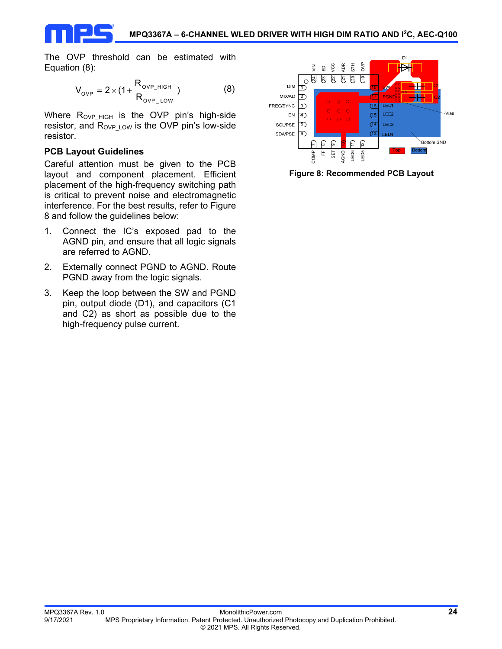The OVP threshold can be estimated with Equation (8):

$$
V_{_{OVP}} = 2 \times (1 + \frac{R_{_{OVP\_HIGH}}}{R_{_{OVP\_LOW}}})
$$
 (8)

Where R<sub>OVP HIGH</sub> is the OVP pin's high-side resistor, and  $R_{\text{OVP LOW}}$  is the OVP pin's low-side resistor.

### **PCB Layout Guidelines**

Careful attention must be given to the PCB layout and component placement. Efficient placement of the high-frequency switching path is critical to prevent noise and electromagnetic interference. For the best results, refer to Figure 8 and follow the guidelines below:

- 1. Connect the IC's exposed pad to the AGND pin, and ensure that all logic signals are referred to AGND.
- 2. Externally connect PGND to AGND. Route PGND away from the logic signals.
- 3. Keep the loop between the SW and PGND pin, output diode (D1), and capacitors (C1 and C2) as short as possible due to the high-frequency pulse current.



**Figure 8: Recommended PCB Layout**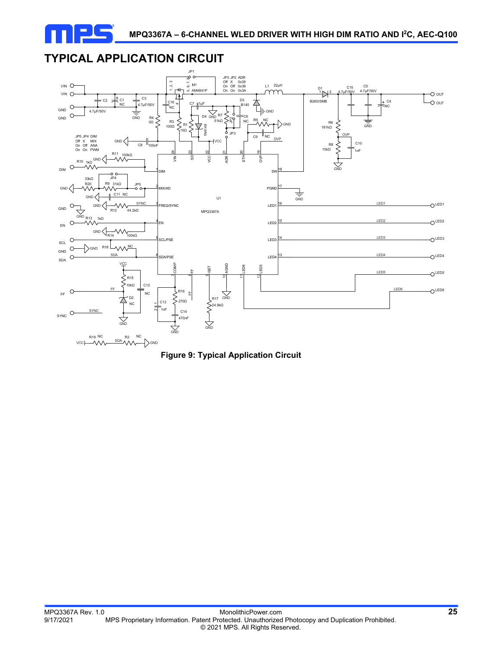

# **TYPICAL APPLICATION CIRCUIT**



**Figure 9: Typical Application Circuit**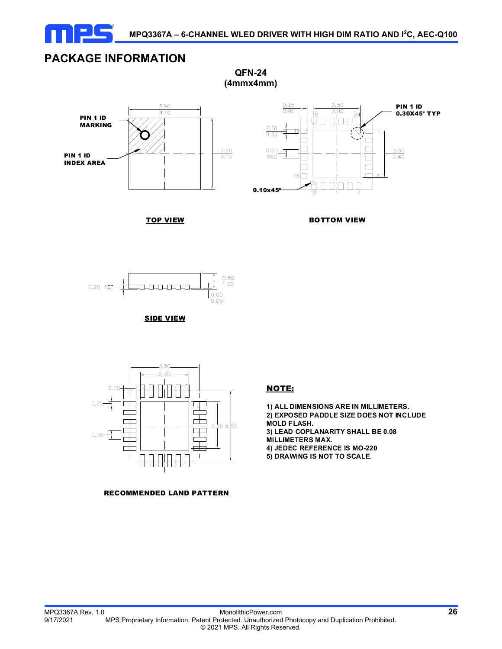

**QFN-24 (4mmx4mm)**

# **PACKAGE INFORMATION**





TOP VIEW









#### RECOMMENDED LAND PATTERN

#### NOTE:

**1) ALL DIMENSIONS ARE IN MILLIMETERS. 2) EXPOSED PADDLE SIZE DOES NOT INCLUDE MOLD FLASH. 3) LEAD COPLANARITY SHALL BE 0.08 MILLIMETERS MAX. 4) JEDEC REFERENCE IS MO-220 5) DRAWING IS NOT TO SCALE.**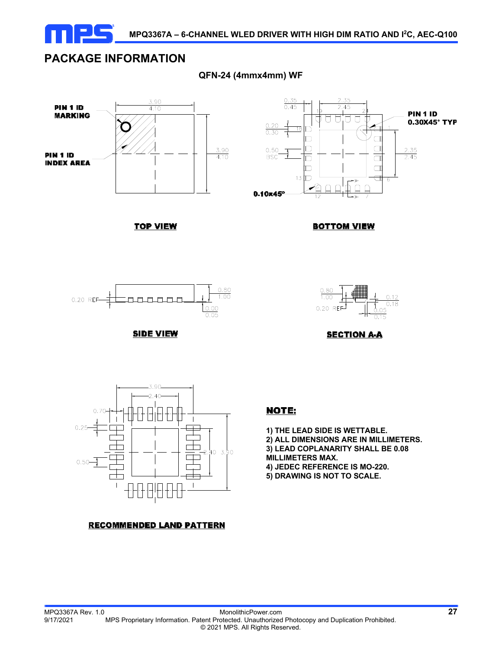

## **PACKAGE INFORMATION**

**QFN-24 (4mmx4mm) WF** 



**TOP VIEW** 



**BOTTOM VIEW** 



**SIDE VIEW** 





#### **RECOMMENDED LAND PATTERN**

## NOTE:

**1) THE LEAD SIDE IS WETTABLE. 2) ALL DIMENSIONS ARE IN MILLIMETERS. 3) LEAD COPLANARITY SHALL BE 0.08 MILLIMETERS MAX. 4) JEDEC REFERENCE IS MO-220. 5) DRAWING IS NOT TO SCALE.**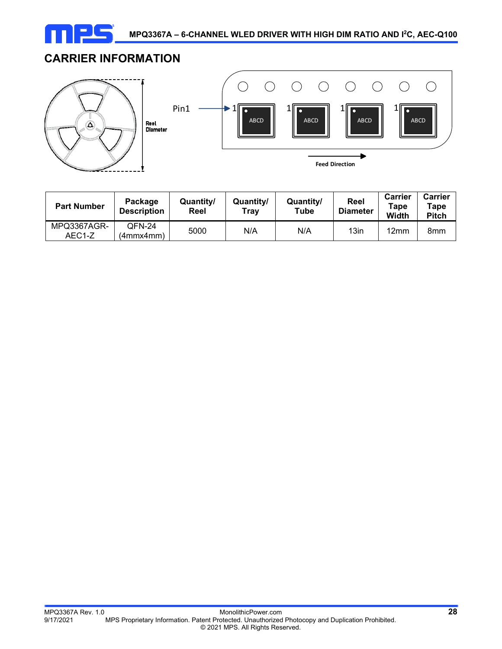

**Feed Direction** 

 $\bigcap$ 

 $\bigcap$ 

▶

 $\bigcap$ 

 $\bigcap$ 

 $\bigcirc$ 

# **CARRIER INFORMATION**



| <b>Part Number</b>    | Package<br><b>Description</b> | Quantity/<br>Reel | Quantity/<br>Tray | Quantity/<br>Tube | Reel<br>Diameter | <b>Carrier</b><br>Tape<br>Width | <b>Carrier</b><br>Tape<br><b>Pitch</b> |
|-----------------------|-------------------------------|-------------------|-------------------|-------------------|------------------|---------------------------------|----------------------------------------|
| MPQ3367AGR-<br>AEC1-Z | QFN-24<br>(4mmx4mm).          | 5000              | N/A               | N/A               | 13in             | 12 <sub>mm</sub>                | 8mm                                    |